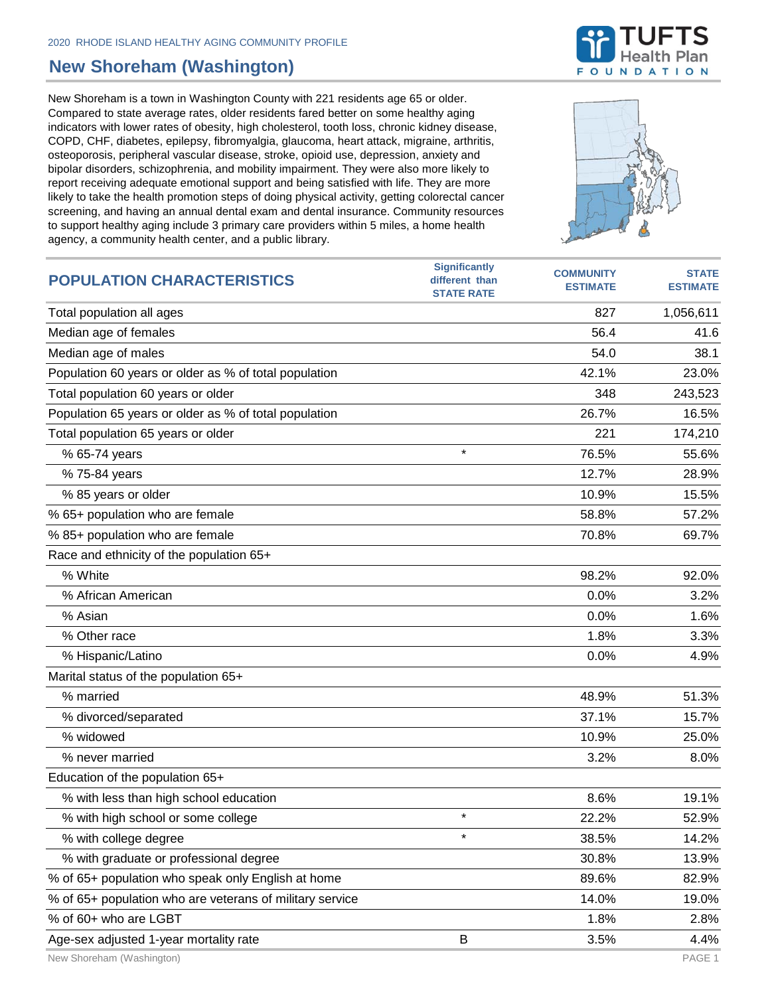## **New Shoreham (Washington)**

**POPULATION CHARACTERISTICS**

New Shoreham is a town in Washington County with 221 residents age 65 or older. Compared to state average rates, older residents fared better on some healthy aging indicators with lower rates of obesity, high cholesterol, tooth loss, chronic kidney disease, COPD, CHF, diabetes, epilepsy, fibromyalgia, glaucoma, heart attack, migraine, arthritis, osteoporosis, peripheral vascular disease, stroke, opioid use, depression, anxiety and bipolar disorders, schizophrenia, and mobility impairment. They were also more likely to report receiving adequate emotional support and being satisfied with life. They are more likely to take the health promotion steps of doing physical activity, getting colorectal cancer screening, and having an annual dental exam and dental insurance. Community resources to support healthy aging include 3 primary care providers within 5 miles, a home health agency, a community health center, and a public library.



**Significantly different than** 





**STATE ESTIMATE**

**COMMUNITY ESTIMATE**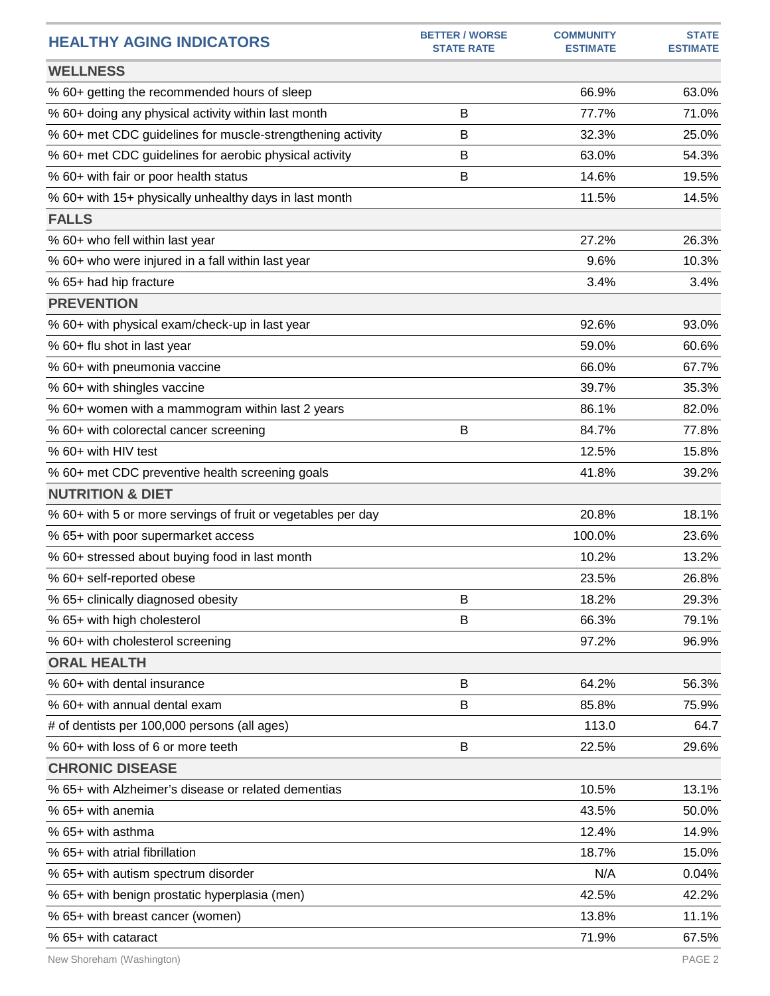| <b>HEALTHY AGING INDICATORS</b>                              | <b>BETTER / WORSE</b><br><b>STATE RATE</b> | <b>COMMUNITY</b><br><b>ESTIMATE</b> | <b>STATE</b><br><b>ESTIMATE</b> |
|--------------------------------------------------------------|--------------------------------------------|-------------------------------------|---------------------------------|
| <b>WELLNESS</b>                                              |                                            |                                     |                                 |
| % 60+ getting the recommended hours of sleep                 |                                            | 66.9%                               | 63.0%                           |
| % 60+ doing any physical activity within last month          | B                                          | 77.7%                               | 71.0%                           |
| % 60+ met CDC guidelines for muscle-strengthening activity   | В                                          | 32.3%                               | 25.0%                           |
| % 60+ met CDC guidelines for aerobic physical activity       | В                                          | 63.0%                               | 54.3%                           |
| % 60+ with fair or poor health status                        | B                                          | 14.6%                               | 19.5%                           |
| % 60+ with 15+ physically unhealthy days in last month       |                                            | 11.5%                               | 14.5%                           |
| <b>FALLS</b>                                                 |                                            |                                     |                                 |
| % 60+ who fell within last year                              |                                            | 27.2%                               | 26.3%                           |
| % 60+ who were injured in a fall within last year            |                                            | 9.6%                                | 10.3%                           |
| % 65+ had hip fracture                                       |                                            | 3.4%                                | 3.4%                            |
| <b>PREVENTION</b>                                            |                                            |                                     |                                 |
| % 60+ with physical exam/check-up in last year               |                                            | 92.6%                               | 93.0%                           |
| % 60+ flu shot in last year                                  |                                            | 59.0%                               | 60.6%                           |
| % 60+ with pneumonia vaccine                                 |                                            | 66.0%                               | 67.7%                           |
| % 60+ with shingles vaccine                                  |                                            | 39.7%                               | 35.3%                           |
| % 60+ women with a mammogram within last 2 years             |                                            | 86.1%                               | 82.0%                           |
| % 60+ with colorectal cancer screening                       | B                                          | 84.7%                               | 77.8%                           |
| % 60+ with HIV test                                          |                                            | 12.5%                               | 15.8%                           |
| % 60+ met CDC preventive health screening goals              |                                            | 41.8%                               | 39.2%                           |
| <b>NUTRITION &amp; DIET</b>                                  |                                            |                                     |                                 |
| % 60+ with 5 or more servings of fruit or vegetables per day |                                            | 20.8%                               | 18.1%                           |
| % 65+ with poor supermarket access                           |                                            | 100.0%                              | 23.6%                           |
| % 60+ stressed about buying food in last month               |                                            | 10.2%                               | 13.2%                           |
| % 60+ self-reported obese                                    |                                            | 23.5%                               | 26.8%                           |
| % 65+ clinically diagnosed obesity                           | В                                          | 18.2%                               | 29.3%                           |
| % 65+ with high cholesterol                                  | B                                          | 66.3%                               | 79.1%                           |
| % 60+ with cholesterol screening                             |                                            | 97.2%                               | 96.9%                           |
| <b>ORAL HEALTH</b>                                           |                                            |                                     |                                 |
| % 60+ with dental insurance                                  | B                                          | 64.2%                               | 56.3%                           |
| % 60+ with annual dental exam                                | B                                          | 85.8%                               | 75.9%                           |
| # of dentists per 100,000 persons (all ages)                 |                                            | 113.0                               | 64.7                            |
| % 60+ with loss of 6 or more teeth                           | B                                          | 22.5%                               | 29.6%                           |
| <b>CHRONIC DISEASE</b>                                       |                                            |                                     |                                 |
| % 65+ with Alzheimer's disease or related dementias          |                                            | 10.5%                               | 13.1%                           |
| % 65+ with anemia                                            |                                            | 43.5%                               | 50.0%                           |
| % 65+ with asthma                                            |                                            | 12.4%                               | 14.9%                           |
| % 65+ with atrial fibrillation                               |                                            | 18.7%                               | 15.0%                           |
| % 65+ with autism spectrum disorder                          |                                            | N/A                                 | 0.04%                           |
| % 65+ with benign prostatic hyperplasia (men)                |                                            | 42.5%                               | 42.2%                           |
| % 65+ with breast cancer (women)                             |                                            | 13.8%                               | 11.1%                           |
| % 65+ with cataract                                          |                                            | 71.9%                               | 67.5%                           |
|                                                              |                                            |                                     |                                 |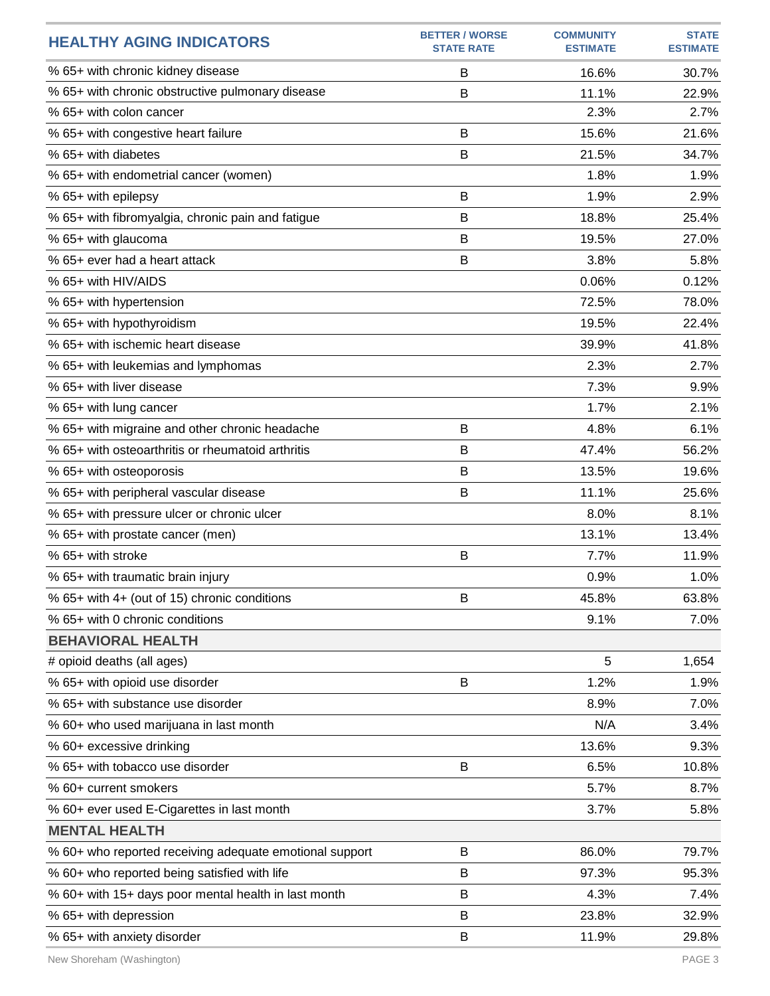| <b>HEALTHY AGING INDICATORS</b>                         | <b>BETTER / WORSE</b><br><b>STATE RATE</b> | <b>COMMUNITY</b><br><b>ESTIMATE</b> | <b>STATE</b><br><b>ESTIMATE</b> |
|---------------------------------------------------------|--------------------------------------------|-------------------------------------|---------------------------------|
| % 65+ with chronic kidney disease                       | B                                          | 16.6%                               | 30.7%                           |
| % 65+ with chronic obstructive pulmonary disease        | B                                          | 11.1%                               | 22.9%                           |
| % 65+ with colon cancer                                 |                                            | 2.3%                                | 2.7%                            |
| % 65+ with congestive heart failure                     | B                                          | 15.6%                               | 21.6%                           |
| % 65+ with diabetes                                     | B                                          | 21.5%                               | 34.7%                           |
| % 65+ with endometrial cancer (women)                   |                                            | 1.8%                                | 1.9%                            |
| % 65+ with epilepsy                                     | B                                          | 1.9%                                | 2.9%                            |
| % 65+ with fibromyalgia, chronic pain and fatigue       | B                                          | 18.8%                               | 25.4%                           |
| % 65+ with glaucoma                                     | B                                          | 19.5%                               | 27.0%                           |
| % 65+ ever had a heart attack                           | B                                          | 3.8%                                | 5.8%                            |
| % 65+ with HIV/AIDS                                     |                                            | 0.06%                               | 0.12%                           |
| % 65+ with hypertension                                 |                                            | 72.5%                               | 78.0%                           |
| % 65+ with hypothyroidism                               |                                            | 19.5%                               | 22.4%                           |
| % 65+ with ischemic heart disease                       |                                            | 39.9%                               | 41.8%                           |
| % 65+ with leukemias and lymphomas                      |                                            | 2.3%                                | 2.7%                            |
| % 65+ with liver disease                                |                                            | 7.3%                                | 9.9%                            |
| % 65+ with lung cancer                                  |                                            | 1.7%                                | 2.1%                            |
| % 65+ with migraine and other chronic headache          | B                                          | 4.8%                                | 6.1%                            |
| % 65+ with osteoarthritis or rheumatoid arthritis       | B                                          | 47.4%                               | 56.2%                           |
| % 65+ with osteoporosis                                 | B                                          | 13.5%                               | 19.6%                           |
| % 65+ with peripheral vascular disease                  | B                                          | 11.1%                               | 25.6%                           |
| % 65+ with pressure ulcer or chronic ulcer              |                                            | 8.0%                                | 8.1%                            |
| % 65+ with prostate cancer (men)                        |                                            | 13.1%                               | 13.4%                           |
| % 65+ with stroke                                       | B                                          | 7.7%                                | 11.9%                           |
| % 65+ with traumatic brain injury                       |                                            | 0.9%                                | 1.0%                            |
| % 65+ with 4+ (out of 15) chronic conditions            | B                                          | 45.8%                               | 63.8%                           |
| % 65+ with 0 chronic conditions                         |                                            | 9.1%                                | 7.0%                            |
| <b>BEHAVIORAL HEALTH</b>                                |                                            |                                     |                                 |
| # opioid deaths (all ages)                              |                                            | 5                                   | 1,654                           |
| % 65+ with opioid use disorder                          | B                                          | 1.2%                                | 1.9%                            |
| % 65+ with substance use disorder                       |                                            | 8.9%                                | 7.0%                            |
| % 60+ who used marijuana in last month                  |                                            | N/A                                 | 3.4%                            |
| % 60+ excessive drinking                                |                                            | 13.6%                               | 9.3%                            |
| % 65+ with tobacco use disorder                         | B                                          | 6.5%                                | 10.8%                           |
| % 60+ current smokers                                   |                                            | 5.7%                                | 8.7%                            |
| % 60+ ever used E-Cigarettes in last month              |                                            | 3.7%                                | 5.8%                            |
| <b>MENTAL HEALTH</b>                                    |                                            |                                     |                                 |
| % 60+ who reported receiving adequate emotional support | B                                          | 86.0%                               | 79.7%                           |
| % 60+ who reported being satisfied with life            | B                                          | 97.3%                               | 95.3%                           |
| % 60+ with 15+ days poor mental health in last month    | B                                          | 4.3%                                | 7.4%                            |
| % 65+ with depression                                   | B                                          | 23.8%                               | 32.9%                           |
| % 65+ with anxiety disorder                             | B                                          | 11.9%                               | 29.8%                           |

New Shoreham (Washington) PAGE 3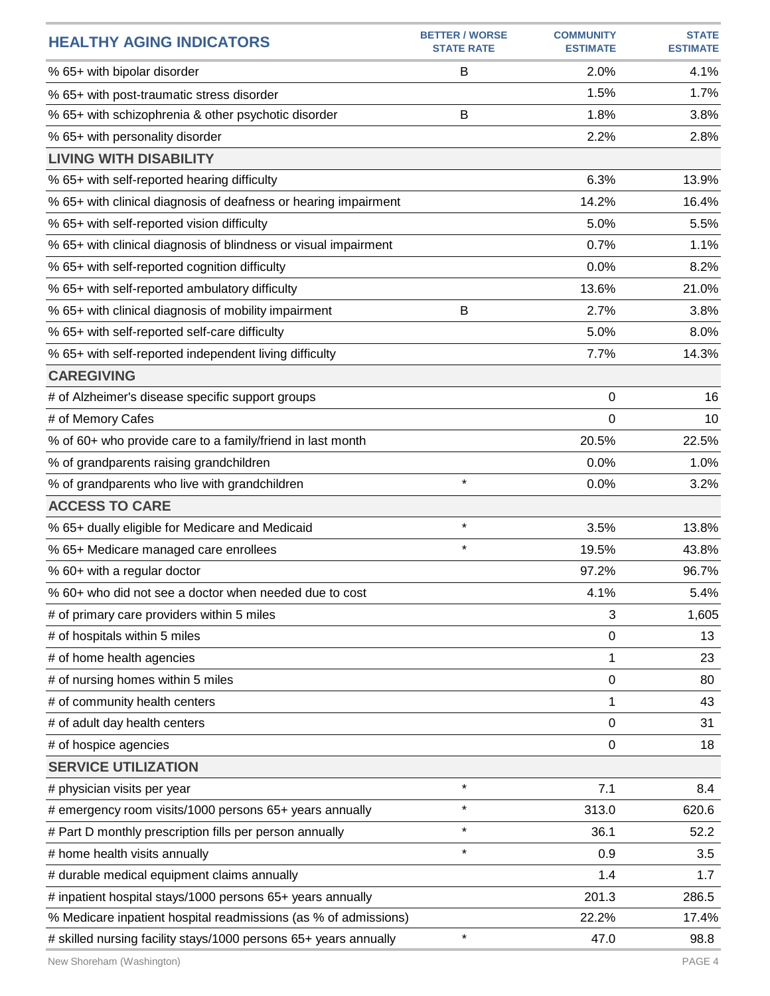| <b>HEALTHY AGING INDICATORS</b>                                  | <b>BETTER / WORSE</b><br><b>STATE RATE</b> | <b>COMMUNITY</b><br><b>ESTIMATE</b> | <b>STATE</b><br><b>ESTIMATE</b> |
|------------------------------------------------------------------|--------------------------------------------|-------------------------------------|---------------------------------|
| % 65+ with bipolar disorder                                      | B                                          | 2.0%                                | 4.1%                            |
| % 65+ with post-traumatic stress disorder                        |                                            | 1.5%                                | 1.7%                            |
| % 65+ with schizophrenia & other psychotic disorder              | B                                          | 1.8%                                | 3.8%                            |
| % 65+ with personality disorder                                  |                                            | 2.2%                                | 2.8%                            |
| <b>LIVING WITH DISABILITY</b>                                    |                                            |                                     |                                 |
| % 65+ with self-reported hearing difficulty                      |                                            | 6.3%                                | 13.9%                           |
| % 65+ with clinical diagnosis of deafness or hearing impairment  |                                            | 14.2%                               | 16.4%                           |
| % 65+ with self-reported vision difficulty                       |                                            | 5.0%                                | 5.5%                            |
| % 65+ with clinical diagnosis of blindness or visual impairment  |                                            | 0.7%                                | 1.1%                            |
| % 65+ with self-reported cognition difficulty                    |                                            | 0.0%                                | 8.2%                            |
| % 65+ with self-reported ambulatory difficulty                   |                                            | 13.6%                               | 21.0%                           |
| % 65+ with clinical diagnosis of mobility impairment             | B                                          | 2.7%                                | 3.8%                            |
| % 65+ with self-reported self-care difficulty                    |                                            | 5.0%                                | 8.0%                            |
| % 65+ with self-reported independent living difficulty           |                                            | 7.7%                                | 14.3%                           |
| <b>CAREGIVING</b>                                                |                                            |                                     |                                 |
| # of Alzheimer's disease specific support groups                 |                                            | 0                                   | 16                              |
| # of Memory Cafes                                                |                                            | 0                                   | 10                              |
| % of 60+ who provide care to a family/friend in last month       |                                            | 20.5%                               | 22.5%                           |
| % of grandparents raising grandchildren                          |                                            | 0.0%                                | 1.0%                            |
| % of grandparents who live with grandchildren                    | $\star$                                    | 0.0%                                | 3.2%                            |
| <b>ACCESS TO CARE</b>                                            |                                            |                                     |                                 |
| % 65+ dually eligible for Medicare and Medicaid                  | $\star$                                    | 3.5%                                | 13.8%                           |
| % 65+ Medicare managed care enrollees                            | $\star$                                    | 19.5%                               | 43.8%                           |
| % 60+ with a regular doctor                                      |                                            | 97.2%                               | 96.7%                           |
| % 60+ who did not see a doctor when needed due to cost           |                                            | 4.1%                                | 5.4%                            |
| # of primary care providers within 5 miles                       |                                            | 3                                   | 1,605                           |
| # of hospitals within 5 miles                                    |                                            | 0                                   | 13                              |
| # of home health agencies                                        |                                            | 1                                   | 23                              |
| # of nursing homes within 5 miles                                |                                            | 0                                   | 80                              |
| # of community health centers                                    |                                            | 1                                   | 43                              |
| # of adult day health centers                                    |                                            | 0                                   | 31                              |
| # of hospice agencies                                            |                                            | $\mathbf 0$                         | 18                              |
| <b>SERVICE UTILIZATION</b>                                       |                                            |                                     |                                 |
| # physician visits per year                                      | $\star$                                    | 7.1                                 | 8.4                             |
| # emergency room visits/1000 persons 65+ years annually          | $\star$                                    | 313.0                               | 620.6                           |
| # Part D monthly prescription fills per person annually          | $\star$                                    | 36.1                                | 52.2                            |
| # home health visits annually                                    | $\star$                                    | 0.9                                 | 3.5                             |
| # durable medical equipment claims annually                      |                                            | 1.4                                 | 1.7                             |
| # inpatient hospital stays/1000 persons 65+ years annually       |                                            | 201.3                               | 286.5                           |
| % Medicare inpatient hospital readmissions (as % of admissions)  |                                            | 22.2%                               | 17.4%                           |
| # skilled nursing facility stays/1000 persons 65+ years annually | $\star$                                    | 47.0                                | 98.8                            |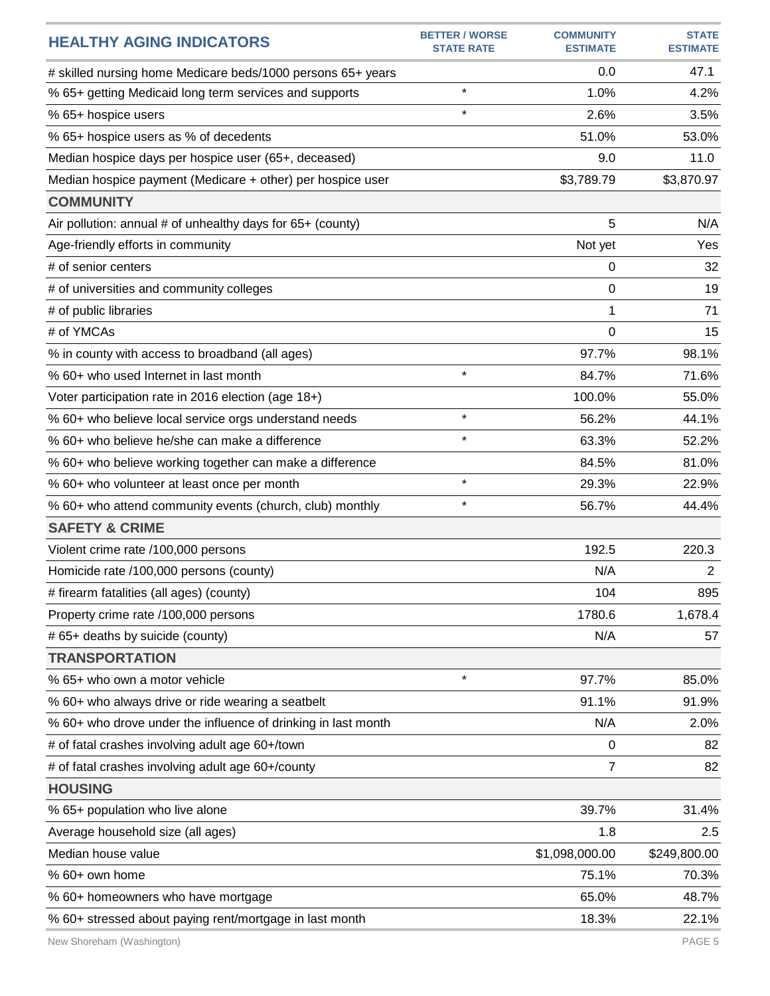| <b>HEALTHY AGING INDICATORS</b>                               | <b>BETTER / WORSE</b> | <b>COMMUNITY</b> | <b>STATE</b>    |
|---------------------------------------------------------------|-----------------------|------------------|-----------------|
|                                                               | <b>STATE RATE</b>     | <b>ESTIMATE</b>  | <b>ESTIMATE</b> |
| # skilled nursing home Medicare beds/1000 persons 65+ years   | $\star$               | 0.0              | 47.1            |
| % 65+ getting Medicaid long term services and supports        | $\star$               | 1.0%             | 4.2%            |
| % 65+ hospice users                                           |                       | 2.6%             | 3.5%            |
| % 65+ hospice users as % of decedents                         |                       | 51.0%            | 53.0%           |
| Median hospice days per hospice user (65+, deceased)          |                       | 9.0              | 11.0            |
| Median hospice payment (Medicare + other) per hospice user    |                       | \$3,789.79       | \$3,870.97      |
| <b>COMMUNITY</b>                                              |                       |                  |                 |
| Air pollution: annual # of unhealthy days for 65+ (county)    |                       | 5                | N/A             |
| Age-friendly efforts in community                             |                       | Not yet          | Yes             |
| # of senior centers                                           |                       | 0                | 32              |
| # of universities and community colleges                      |                       | 0                | 19              |
| # of public libraries                                         |                       | 1                | 71              |
| # of YMCAs                                                    |                       | 0                | 15              |
| % in county with access to broadband (all ages)               |                       | 97.7%            | 98.1%           |
| % 60+ who used Internet in last month                         | $\star$               | 84.7%            | 71.6%           |
| Voter participation rate in 2016 election (age 18+)           |                       | 100.0%           | 55.0%           |
| % 60+ who believe local service orgs understand needs         | $\star$               | 56.2%            | 44.1%           |
| % 60+ who believe he/she can make a difference                | $\star$               | 63.3%            | 52.2%           |
| % 60+ who believe working together can make a difference      |                       | 84.5%            | 81.0%           |
| % 60+ who volunteer at least once per month                   | $\star$               | 29.3%            | 22.9%           |
| % 60+ who attend community events (church, club) monthly      | $\star$               | 56.7%            | 44.4%           |
| <b>SAFETY &amp; CRIME</b>                                     |                       |                  |                 |
| Violent crime rate /100,000 persons                           |                       | 192.5            | 220.3           |
| Homicide rate /100,000 persons (county)                       |                       | N/A              | $\overline{2}$  |
| # firearm fatalities (all ages) (county)                      |                       | 104              | 895             |
| Property crime rate /100,000 persons                          |                       | 1780.6           | 1,678.4         |
| # 65+ deaths by suicide (county)                              |                       | N/A              | 57              |
| <b>TRANSPORTATION</b>                                         |                       |                  |                 |
| % 65+ who own a motor vehicle                                 | $\star$               | 97.7%            | 85.0%           |
| % 60+ who always drive or ride wearing a seatbelt             |                       | 91.1%            | 91.9%           |
| % 60+ who drove under the influence of drinking in last month |                       | N/A              | 2.0%            |
| # of fatal crashes involving adult age 60+/town               |                       | 0                | 82              |
| # of fatal crashes involving adult age 60+/county             |                       | 7                | 82              |
| <b>HOUSING</b>                                                |                       |                  |                 |
| % 65+ population who live alone                               |                       | 39.7%            | 31.4%           |
| Average household size (all ages)                             |                       | 1.8              | 2.5             |
| Median house value                                            |                       | \$1,098,000.00   | \$249,800.00    |
| % 60+ own home                                                |                       | 75.1%            | 70.3%           |
| % 60+ homeowners who have mortgage                            |                       | 65.0%            | 48.7%           |
| % 60+ stressed about paying rent/mortgage in last month       |                       | 18.3%            | 22.1%           |
|                                                               |                       |                  |                 |